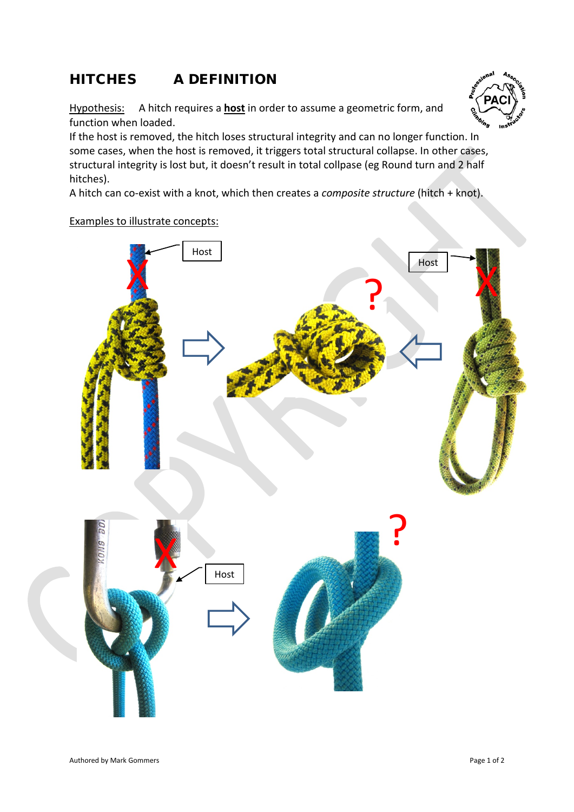## HITCHES A DEFINITION

Hypothesis: A hitch requires a **host** in order to assume a geometric form, and function when loaded.



A hitch can co-exist with a knot, which then creates a *composite structure* (hitch + knot).

## Examples to illustrate concepts: